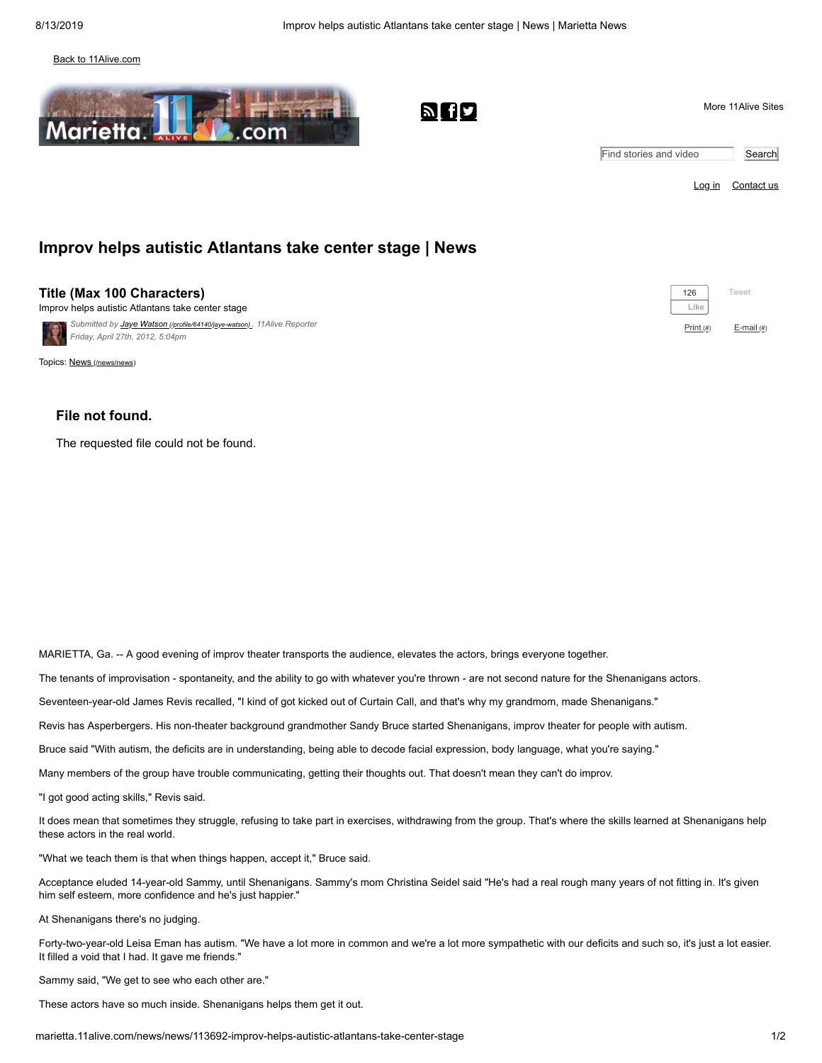### [Back to 11Alive.com](http://11alive.com/)



*Submitted by Jaye Watson [\(/profile/64140/jaye-watson\)](http://marietta.11alive.com/profile/64140/jaye-watson) , 11Alive Reporter*

| Marietta.<br>.com                                                                      | <b>bod</b> | More 11 Alive Sites    |            |  |
|----------------------------------------------------------------------------------------|------------|------------------------|------------|--|
|                                                                                        |            | Find stories and video | Search     |  |
|                                                                                        |            | <u>Log in</u>          | Contact us |  |
| Improv helps autistic Atlantans take center stage   News                               |            |                        |            |  |
| <b>Title (Max 100 Characters)</b><br>Improv helps autistic Atlantans take center stage |            | 126<br>Like            | Tweet      |  |

Print (#) E-mail (#)

*Friday, April 27th, 2012, 5:04pm*

**Title (Max 100 Characters)** Improv helps autistic Atlantans take center stage

Topics: News [\(/news/news\)](http://marietta.11alive.com/news/news)

## **File not found.**

The requested file could not be found.

MARIETTA, Ga. -- A good evening of improv theater transports the audience, elevates the actors, brings everyone together.

The tenants of improvisation - spontaneity, and the ability to go with whatever you're thrown - are not second nature for the Shenanigans actors.

Seventeen-year-old James Revis recalled, "I kind of got kicked out of Curtain Call, and that's why my grandmom, made Shenanigans."

Revis has Asperbergers. His non-theater background grandmother Sandy Bruce started Shenanigans, improv theater for people with autism.

Bruce said "With autism, the deficits are in understanding, being able to decode facial expression, body language, what you're saying."

Many members of the group have trouble communicating, getting their thoughts out. That doesn't mean they can't do improv.

"I got good acting skills," Revis said.

It does mean that sometimes they struggle, refusing to take part in exercises, withdrawing from the group. That's where the skills learned at Shenanigans help these actors in the real world.

"What we teach them is that when things happen, accept it," Bruce said.

Acceptance eluded 14-year-old Sammy, until Shenanigans. Sammy's mom Christina Seidel said "He's had a real rough many years of not fitting in. It's given him self esteem, more confidence and he's just happier."

At Shenanigans there's no judging.

Forty-two-year-old Leisa Eman has autism. "We have a lot more in common and we're a lot more sympathetic with our deficits and such so, it's just a lot easier. It filled a void that I had. It gave me friends."

Sammy said, "We get to see who each other are."

These actors have so much inside. Shenanigans helps them get it out.